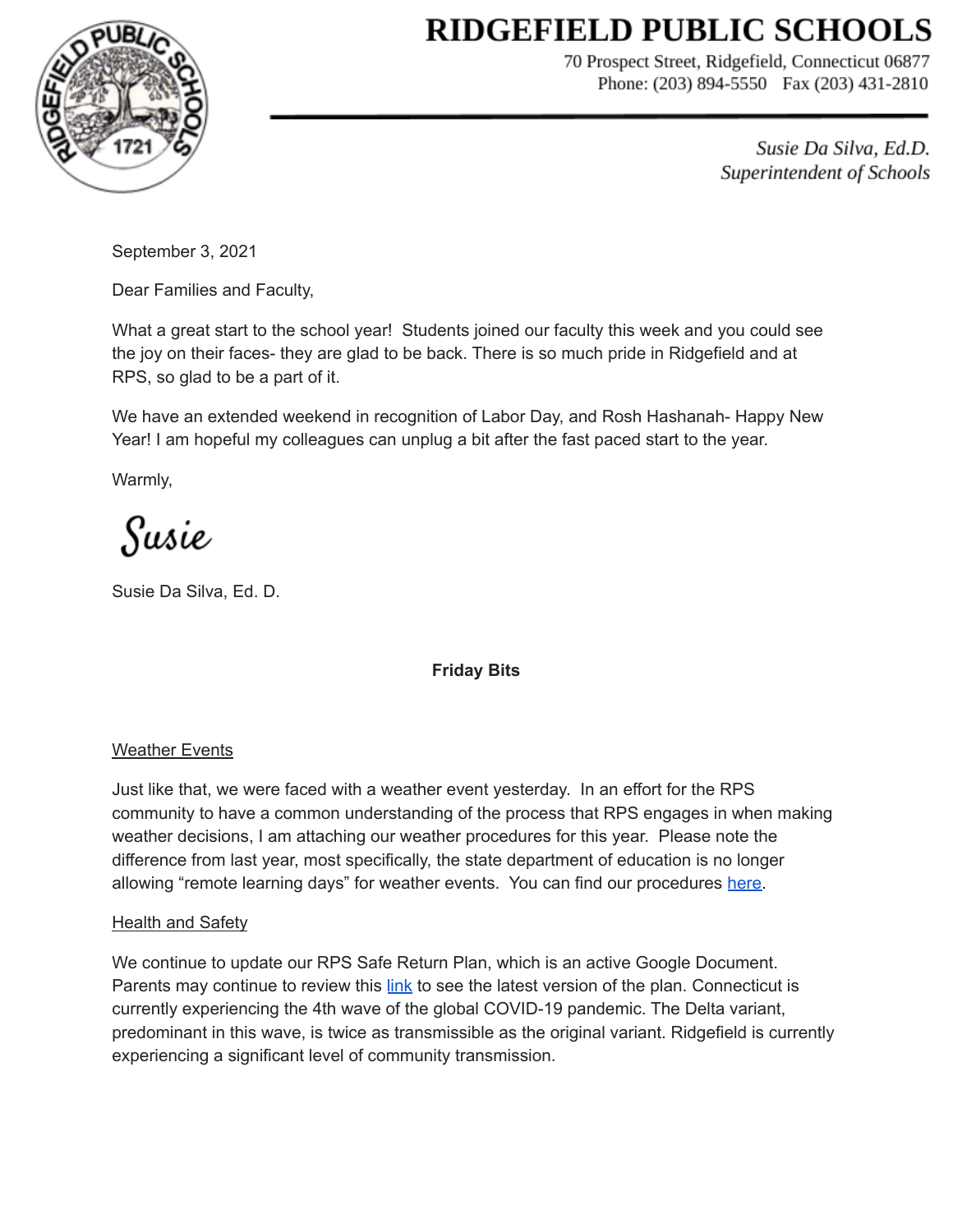# **RIDGEFIELD PUBLIC SCHOOLS**



70 Prospect Street, Ridgefield, Connecticut 06877 Phone: (203) 894-5550 Fax (203) 431-2810

> Susie Da Silva, Ed.D. Superintendent of Schools

September 3, 2021

Dear Families and Faculty,

What a great start to the school year! Students joined our faculty this week and you could see the joy on their faces- they are glad to be back. There is so much pride in Ridgefield and at RPS, so glad to be a part of it.

We have an extended weekend in recognition of Labor Day, and Rosh Hashanah- Happy New Year! I am hopeful my colleagues can unplug a bit after the fast paced start to the year.

Warmly,

Susie

Susie Da Silva, Ed. D.

## **Friday Bits**

## Weather Events

Just like that, we were faced with a weather event yesterday. In an effort for the RPS community to have a common understanding of the process that RPS engages in when making weather decisions, I am attaching our weather procedures for this year. Please note the difference from last year, most specifically, the state department of education is no longer allowing "remote learning days" for weather events. You can find our procedures [here.](https://drive.google.com/file/d/1x8IVk3j0UIBWybjWEhLnl31Hy97zUvts/view?usp=sharing)

## **Health and Safety**

We continue to update our RPS Safe Return Plan, which is an active Google Document. Parents may continue to review this [link](https://docs.google.com/document/d/17z06sq32rqwcBGLXlxDIzKSdv3eFfsRSPoq0ReYxC-E/edit?usp=sharing) to see the latest version of the plan. Connecticut is currently experiencing the 4th wave of the global COVID-19 pandemic. The Delta variant, predominant in this wave, is twice as transmissible as the original variant. Ridgefield is currently experiencing a significant level of community transmission.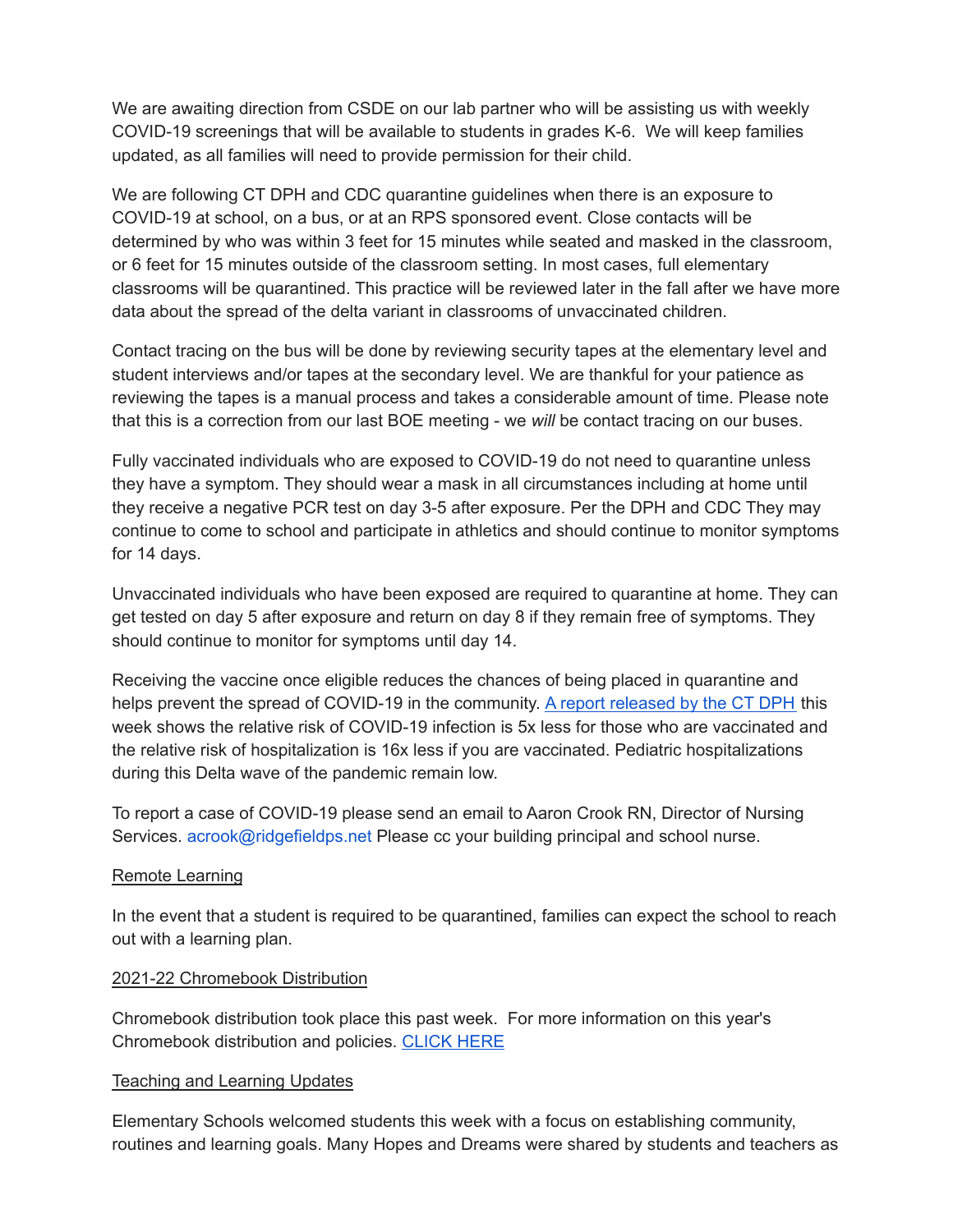We are awaiting direction from CSDE on our lab partner who will be assisting us with weekly COVID-19 screenings that will be available to students in grades K-6. We will keep families updated, as all families will need to provide permission for their child.

We are following CT DPH and CDC quarantine guidelines when there is an exposure to COVID-19 at school, on a bus, or at an RPS sponsored event. Close contacts will be determined by who was within 3 feet for 15 minutes while seated and masked in the classroom, or 6 feet for 15 minutes outside of the classroom setting. In most cases, full elementary classrooms will be quarantined. This practice will be reviewed later in the fall after we have more data about the spread of the delta variant in classrooms of unvaccinated children.

Contact tracing on the bus will be done by reviewing security tapes at the elementary level and student interviews and/or tapes at the secondary level. We are thankful for your patience as reviewing the tapes is a manual process and takes a considerable amount of time. Please note that this is a correction from our last BOE meeting - we *will* be contact tracing on our buses.

Fully vaccinated individuals who are exposed to COVID-19 do not need to quarantine unless they have a symptom. They should wear a mask in all circumstances including at home until they receive a negative PCR test on day 3-5 after exposure. Per the DPH and CDC They may continue to come to school and participate in athletics and should continue to monitor symptoms for 14 days.

Unvaccinated individuals who have been exposed are required to quarantine at home. They can get tested on day 5 after exposure and return on day 8 if they remain free of symptoms. They should continue to monitor for symptoms until day 14.

Receiving the vaccine once eligible reduces the chances of being placed in quarantine and helps prevent the spread of COVID-19 in the community. A report [released](https://drive.google.com/file/d/1PO0Q-bsYz-6GkcfCeJcYtSQnjeOZ495n/view?usp=sharing) by the CT DPH this week shows the relative risk of COVID-19 infection is 5x less for those who are vaccinated and the relative risk of hospitalization is 16x less if you are vaccinated. Pediatric hospitalizations during this Delta wave of the pandemic remain low.

To report a case of COVID-19 please send an email to Aaron Crook RN, Director of Nursing Services. acrook@ridgefieldps.net Please cc your building principal and school nurse.

### Remote Learning

In the event that a student is required to be quarantined, families can expect the school to reach out with a learning plan.

### 2021-22 Chromebook Distribution

Chromebook distribution took place this past week. For more information on this year's Chromebook distribution and policies. [CLICK](https://sites.google.com/ridgefieldps.net/rpstech/chromebooks) HERE

### Teaching and Learning Updates

Elementary Schools welcomed students this week with a focus on establishing community, routines and learning goals. Many Hopes and Dreams were shared by students and teachers as